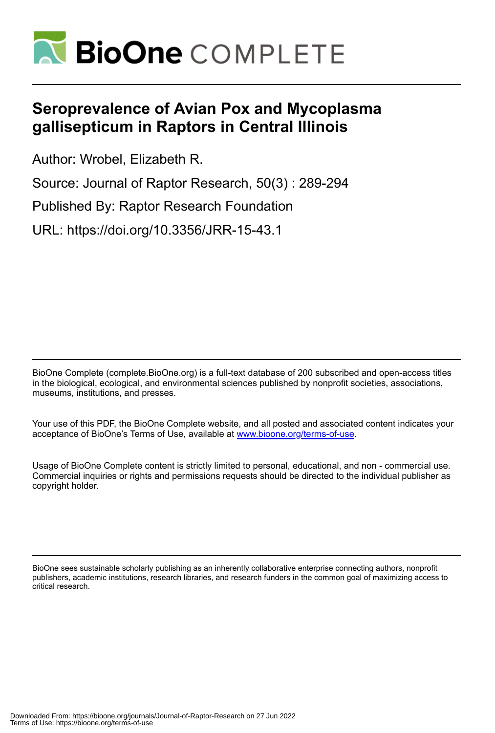

# **Seroprevalence of Avian Pox and Mycoplasma gallisepticum in Raptors in Central Illinois**

Author: Wrobel, Elizabeth R.

Source: Journal of Raptor Research, 50(3) : 289-294

Published By: Raptor Research Foundation

URL: https://doi.org/10.3356/JRR-15-43.1

BioOne Complete (complete.BioOne.org) is a full-text database of 200 subscribed and open-access titles in the biological, ecological, and environmental sciences published by nonprofit societies, associations, museums, institutions, and presses.

Your use of this PDF, the BioOne Complete website, and all posted and associated content indicates your acceptance of BioOne's Terms of Use, available at www.bioone.org/terms-of-use.

Usage of BioOne Complete content is strictly limited to personal, educational, and non - commercial use. Commercial inquiries or rights and permissions requests should be directed to the individual publisher as copyright holder.

BioOne sees sustainable scholarly publishing as an inherently collaborative enterprise connecting authors, nonprofit publishers, academic institutions, research libraries, and research funders in the common goal of maximizing access to critical research.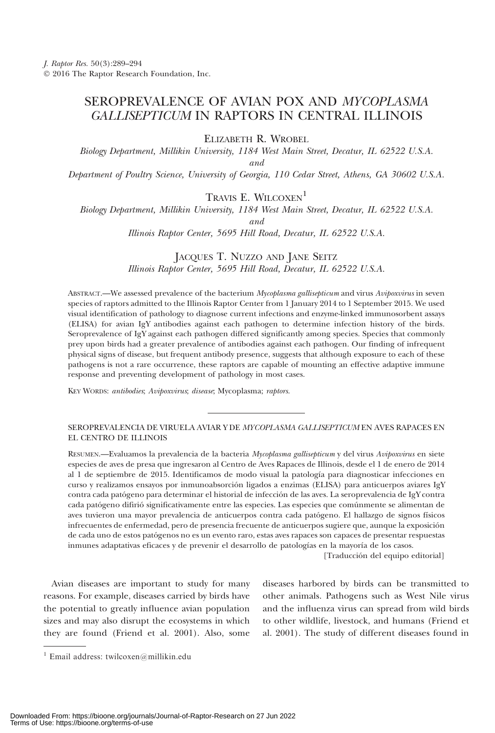# SEROPREVALENCE OF AVIAN POX AND MYCOPLASMA GALLISEPTICUM IN RAPTORS IN CENTRAL ILLINOIS

ELIZABETH R. WROBEL

Biology Department, Millikin University, 1184 West Main Street, Decatur, IL 62522 U.S.A. and Department of Poultry Science, University of Georgia, 110 Cedar Street, Athens, GA 30602 U.S.A.

## TRAVIS E. WILCOXEN<sup>1</sup>

Biology Department, Millikin University, 1184 West Main Street, Decatur, IL 62522 U.S.A.

and

Illinois Raptor Center, 5695 Hill Road, Decatur, IL 62522 U.S.A.

### JACQUES T. NUZZO AND JANE SEITZ Illinois Raptor Center, 5695 Hill Road, Decatur, IL 62522 U.S.A.

ABSTRACT.—We assessed prevalence of the bacterium Mycoplasma gallisepticum and virus Avipoxvirus in seven species of raptors admitted to the Illinois Raptor Center from 1 January 2014 to 1 September 2015. We used visual identification of pathology to diagnose current infections and enzyme-linked immunosorbent assays (ELISA) for avian IgY antibodies against each pathogen to determine infection history of the birds. Seroprevalence of IgY against each pathogen differed significantly among species. Species that commonly prey upon birds had a greater prevalence of antibodies against each pathogen. Our finding of infrequent physical signs of disease, but frequent antibody presence, suggests that although exposure to each of these pathogens is not a rare occurrence, these raptors are capable of mounting an effective adaptive immune response and preventing development of pathology in most cases.

KEY WORDS: antibodies; Avipoxvirus; disease; Mycoplasma; raptors.

#### SEROPREVALENCIA DE VIRUELA AVIAR Y DE MYCOPLASMA GALLISEPTICUM EN AVES RAPACES EN EL CENTRO DE ILLINOIS

RESUMEN.—Evaluamos la prevalencia de la bacteria Mycoplasma gallisepticum y del virus Avipoxvirus en siete especies de aves de presa que ingresaron al Centro de Aves Rapaces de Illinois, desde el 1 de enero de 2014 al 1 de septiembre de 2015. Identificamos de modo visual la patología para diagnosticar infecciones en curso y realizamos ensayos por inmunoabsorción ligados a enzimas (ELISA) para anticuerpos aviares IgY contra cada patógeno para determinar el historial de infección de las aves. La seroprevalencia de IgY contra cada patógeno difirió significativamente entre las especies. Las especies que comúnmente se alimentan de aves tuvieron una mayor prevalencia de anticuerpos contra cada patógeno. El hallazgo de signos físicos infrecuentes de enfermedad, pero de presencia frecuente de anticuerpos sugiere que, aunque la exposición de cada uno de estos patógenos no es un evento raro, estas aves rapaces son capaces de presentar respuestas inmunes adaptativas eficaces y de prevenir el desarrollo de patologías en la mayoría de los casos.

[Traducción del equipo editorial]

Avian diseases are important to study for many reasons. For example, diseases carried by birds have the potential to greatly influence avian population sizes and may also disrupt the ecosystems in which they are found (Friend et al. 2001). Also, some diseases harbored by birds can be transmitted to other animals. Pathogens such as West Nile virus and the influenza virus can spread from wild birds to other wildlife, livestock, and humans (Friend et al. 2001). The study of different diseases found in

<sup>&</sup>lt;sup>1</sup> Email address: twilcoxen@millikin.edu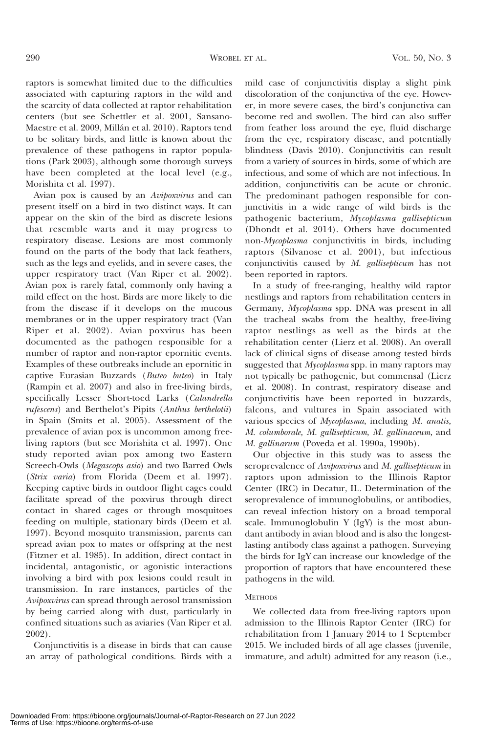raptors is somewhat limited due to the difficulties associated with capturing raptors in the wild and the scarcity of data collected at raptor rehabilitation centers (but see Schettler et al. 2001, Sansano-Maestre et al. 2009, Millán et al. 2010). Raptors tend to be solitary birds, and little is known about the prevalence of these pathogens in raptor populations (Park 2003), although some thorough surveys have been completed at the local level (e.g., Morishita et al. 1997).

Avian pox is caused by an Avipoxvirus and can present itself on a bird in two distinct ways. It can appear on the skin of the bird as discrete lesions that resemble warts and it may progress to respiratory disease. Lesions are most commonly found on the parts of the body that lack feathers, such as the legs and eyelids, and in severe cases, the upper respiratory tract (Van Riper et al. 2002). Avian pox is rarely fatal, commonly only having a mild effect on the host. Birds are more likely to die from the disease if it develops on the mucous membranes or in the upper respiratory tract (Van Riper et al. 2002). Avian poxvirus has been documented as the pathogen responsible for a number of raptor and non-raptor epornitic events. Examples of these outbreaks include an epornitic in captive Eurasian Buzzards (Buteo buteo) in Italy (Rampin et al. 2007) and also in free-living birds, specifically Lesser Short-toed Larks (Calandrella rufescens) and Berthelot's Pipits (Anthus berthelotii) in Spain (Smits et al. 2005). Assessment of the prevalence of avian pox is uncommon among freeliving raptors (but see Morishita et al. 1997). One study reported avian pox among two Eastern Screech-Owls (Megascops asio) and two Barred Owls (Strix varia) from Florida (Deem et al. 1997). Keeping captive birds in outdoor flight cages could facilitate spread of the poxvirus through direct contact in shared cages or through mosquitoes feeding on multiple, stationary birds (Deem et al. 1997). Beyond mosquito transmission, parents can spread avian pox to mates or offspring at the nest (Fitzner et al. 1985). In addition, direct contact in incidental, antagonistic, or agonistic interactions involving a bird with pox lesions could result in transmission. In rare instances, particles of the Avipoxvirus can spread through aerosol transmission by being carried along with dust, particularly in confined situations such as aviaries (Van Riper et al. 2002).

Conjunctivitis is a disease in birds that can cause an array of pathological conditions. Birds with a mild case of conjunctivitis display a slight pink discoloration of the conjunctiva of the eye. However, in more severe cases, the bird's conjunctiva can become red and swollen. The bird can also suffer from feather loss around the eye, fluid discharge from the eye, respiratory disease, and potentially blindness (Davis 2010). Conjunctivitis can result from a variety of sources in birds, some of which are infectious, and some of which are not infectious. In addition, conjunctivitis can be acute or chronic. The predominant pathogen responsible for conjunctivitis in a wide range of wild birds is the pathogenic bacterium, Mycoplasma gallisepticum (Dhondt et al. 2014). Others have documented non-Mycoplasma conjunctivitis in birds, including raptors (Silvanose et al. 2001), but infectious conjunctivitis caused by M. gallisepticum has not been reported in raptors.

In a study of free-ranging, healthy wild raptor nestlings and raptors from rehabilitation centers in Germany, Mycoplasma spp. DNA was present in all the tracheal swabs from the healthy, free-living raptor nestlings as well as the birds at the rehabilitation center (Lierz et al. 2008). An overall lack of clinical signs of disease among tested birds suggested that Mycoplasma spp. in many raptors may not typically be pathogenic, but commensal (Lierz et al. 2008). In contrast, respiratory disease and conjunctivitis have been reported in buzzards, falcons, and vultures in Spain associated with various species of Mycoplasma, including M. anatis, M. columborale, M. gallisepticum, M. gallinaceum, and M. gallinarum (Poveda et al. 1990a, 1990b).

Our objective in this study was to assess the seroprevalence of Avipoxvirus and M. gallisepticum in raptors upon admission to the Illinois Raptor Center (IRC) in Decatur, IL. Determination of the seroprevalence of immunoglobulins, or antibodies, can reveal infection history on a broad temporal scale. Immunoglobulin Y (IgY) is the most abundant antibody in avian blood and is also the longestlasting antibody class against a pathogen. Surveying the birds for IgY can increase our knowledge of the proportion of raptors that have encountered these pathogens in the wild.

#### **METHODS**

We collected data from free-living raptors upon admission to the Illinois Raptor Center (IRC) for rehabilitation from 1 January 2014 to 1 September 2015. We included birds of all age classes (juvenile, immature, and adult) admitted for any reason (i.e.,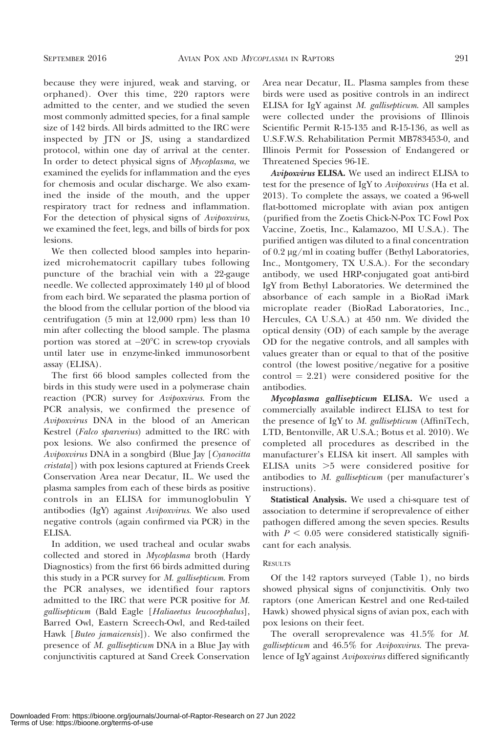because they were injured, weak and starving, or orphaned). Over this time, 220 raptors were admitted to the center, and we studied the seven most commonly admitted species, for a final sample size of 142 birds. All birds admitted to the IRC were inspected by JTN or JS, using a standardized protocol, within one day of arrival at the center. In order to detect physical signs of Mycoplasma, we examined the eyelids for inflammation and the eyes for chemosis and ocular discharge. We also examined the inside of the mouth, and the upper respiratory tract for redness and inflammation. For the detection of physical signs of Avipoxvirus, we examined the feet, legs, and bills of birds for pox lesions.

We then collected blood samples into heparinized microhematocrit capillary tubes following puncture of the brachial vein with a 22-gauge needle. We collected approximately 140 µl of blood from each bird. We separated the plasma portion of the blood from the cellular portion of the blood via centrifugation (5 min at 12,000 rpm) less than 10 min after collecting the blood sample. The plasma portion was stored at -20°C in screw-top cryovials until later use in enzyme-linked immunosorbent assay (ELISA).

The first 66 blood samples collected from the birds in this study were used in a polymerase chain reaction (PCR) survey for Avipoxvirus. From the PCR analysis, we confirmed the presence of Avipoxvirus DNA in the blood of an American Kestrel (Falco sparverius) admitted to the IRC with pox lesions. We also confirmed the presence of Avipoxvirus DNA in a songbird (Blue Jay [Cyanocitta cristata]) with pox lesions captured at Friends Creek Conservation Area near Decatur, IL. We used the plasma samples from each of these birds as positive controls in an ELISA for immunoglobulin Y antibodies (IgY) against Avipoxvirus. We also used negative controls (again confirmed via PCR) in the ELISA.

In addition, we used tracheal and ocular swabs collected and stored in Mycoplasma broth (Hardy Diagnostics) from the first 66 birds admitted during this study in a PCR survey for M. gallisepticum. From the PCR analyses, we identified four raptors admitted to the IRC that were PCR positive for M. gallisepticum (Bald Eagle [Haliaeetus leucocephalus], Barred Owl, Eastern Screech-Owl, and Red-tailed Hawk [Buteo jamaicensis]). We also confirmed the presence of M. gallisepticum DNA in a Blue Jay with conjunctivitis captured at Sand Creek Conservation Area near Decatur, IL. Plasma samples from these birds were used as positive controls in an indirect ELISA for IgY against M. gallisepticum. All samples were collected under the provisions of Illinois Scientific Permit R-15-135 and R-15-136, as well as U.S.F.W.S. Rehabilitation Permit MB783453-0, and Illinois Permit for Possession of Endangered or Threatened Species 96-1E.

Avipoxvirus ELISA. We used an indirect ELISA to test for the presence of IgY to Avipoxvirus (Ha et al. 2013). To complete the assays, we coated a 96-well flat-bottomed microplate with avian pox antigen (purified from the Zoetis Chick-N-Pox TC Fowl Pox Vaccine, Zoetis, Inc., Kalamazoo, MI U.S.A.). The purified antigen was diluted to a final concentration of 0.2 lg/ml in coating buffer (Bethyl Laboratories, Inc., Montgomery, TX U.S.A.). For the secondary antibody, we used HRP-conjugated goat anti-bird IgY from Bethyl Laboratories. We determined the absorbance of each sample in a BioRad iMark microplate reader (BioRad Laboratories, Inc., Hercules, CA U.S.A.) at 450 nm. We divided the optical density (OD) of each sample by the average OD for the negative controls, and all samples with values greater than or equal to that of the positive control (the lowest positive/negative for a positive  $control = 2.21$ ) were considered positive for the antibodies.

Mycoplasma gallisepticum ELISA. We used a commercially available indirect ELISA to test for the presence of IgY to M. gallisepticum (AffiniTech, LTD, Bentonville, AR U.S.A.; Botus et al. 2010). We completed all procedures as described in the manufacturer's ELISA kit insert. All samples with ELISA units  $>5$  were considered positive for antibodies to M. gallisepticum (per manufacturer's instructions).

Statistical Analysis. We used a chi-square test of association to determine if seroprevalence of either pathogen differed among the seven species. Results with  $P < 0.05$  were considered statistically significant for each analysis.

#### RESULTS

Of the 142 raptors surveyed (Table 1), no birds showed physical signs of conjunctivitis. Only two raptors (one American Kestrel and one Red-tailed Hawk) showed physical signs of avian pox, each with pox lesions on their feet.

The overall seroprevalence was 41.5% for M. gallisepticum and 46.5% for Avipoxvirus. The prevalence of IgY against Avipoxvirus differed significantly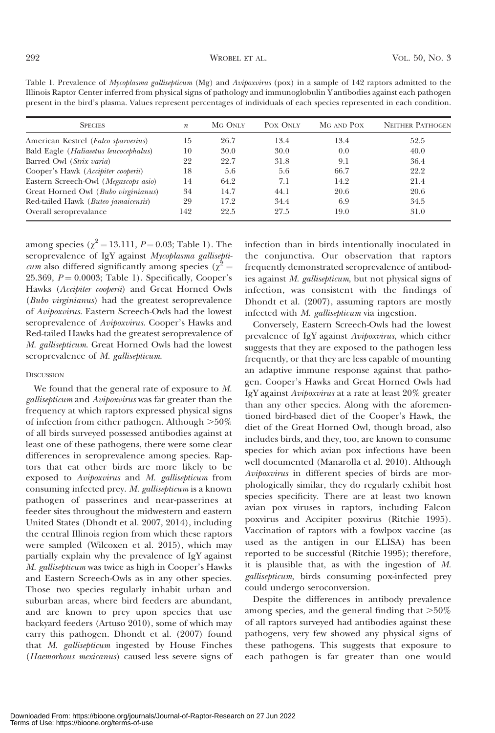| present in the bird's plasma. Values represent percentages of individuals of each species represented in each condition. |                  |         |          |            |                         |
|--------------------------------------------------------------------------------------------------------------------------|------------------|---------|----------|------------|-------------------------|
| <b>SPECIES</b>                                                                                                           | $\boldsymbol{n}$ | MG ONLY | POX ONLY | MG AND POX | <b>NEITHER PATHOGEN</b> |
| American Kestrel (Falco sparverius)                                                                                      | 15               | 26.7    | 13.4     | 13.4       | 52.5                    |
| Bald Eagle ( <i>Haliaeetus leucocephalus</i> )                                                                           | 10               | 30.0    | 30.0     | 0.0        | 40.0                    |
| Barred Owl (Strix varia)                                                                                                 | 22               | 22.7    | 31.8     | 9.1        | 36.4                    |
| Cooper's Hawk (Accipiter cooperii)                                                                                       | 18               | 5.6     | 5.6      | 66.7       | 22.2                    |
| Eastern Screech-Owl (Megascops asio)                                                                                     | 14               | 64.2    | 7.1      | 14.2       | 21.4                    |
| Great Horned Owl (Bubo virginianus)                                                                                      | 34               | 14.7    | 44.1     | 20.6       | 20.6                    |
| Red-tailed Hawk (Buteo jamaicensis)                                                                                      | 29               | 17.2    | 34.4     | 6.9        | 34.5                    |
| Overall seroprevalance                                                                                                   | 142              | 22.5    | 27.5     | 19.0       | 31.0                    |

Table 1. Prevalence of *Mycoplasma gallisepticum* (Mg) and *Avipoxvirus* (pox) in a sample of 142 raptors admitted to the Illinois Raptor Center inferred from physical signs of pathology and immunoglobulin Y antibodies against each pathogen

among species ( $\chi^2$  = 13.111, *P* = 0.03; Table 1). The seroprevalence of IgY against Mycoplasma gallisepti*cum* also differed significantly among species ( $\chi^2$  = 25.369,  $P = 0.0003$ ; Table 1). Specifically, Cooper's Hawks (Accipiter cooperii) and Great Horned Owls (Bubo virginianus) had the greatest seroprevalence of Avipoxvirus. Eastern Screech-Owls had the lowest seroprevalence of Avipoxvirus. Cooper's Hawks and Red-tailed Hawks had the greatest seroprevalence of M. gallisepticum. Great Horned Owls had the lowest seroprevalence of M. gallisepticum.

#### **DISCUSSION**

We found that the general rate of exposure to M. gallisepticum and Avipoxvirus was far greater than the frequency at which raptors expressed physical signs of infection from either pathogen. Although  $>50\%$ of all birds surveyed possessed antibodies against at least one of these pathogens, there were some clear differences in seroprevalence among species. Raptors that eat other birds are more likely to be exposed to Avipoxvirus and M. gallisepticum from consuming infected prey. M. gallisepticum is a known pathogen of passerines and near-passerines at feeder sites throughout the midwestern and eastern United States (Dhondt et al. 2007, 2014), including the central Illinois region from which these raptors were sampled (Wilcoxen et al. 2015), which may partially explain why the prevalence of IgY against M. gallisepticum was twice as high in Cooper's Hawks and Eastern Screech-Owls as in any other species. Those two species regularly inhabit urban and suburban areas, where bird feeders are abundant, and are known to prey upon species that use backyard feeders (Artuso 2010), some of which may carry this pathogen. Dhondt et al. (2007) found that M. gallisepticum ingested by House Finches (Haemorhous mexicanus) caused less severe signs of infection than in birds intentionally inoculated in the conjunctiva. Our observation that raptors frequently demonstrated seroprevalence of antibodies against M. gallisepticum, but not physical signs of infection, was consistent with the findings of Dhondt et al. (2007), assuming raptors are mostly infected with M. gallisepticum via ingestion.

Conversely, Eastern Screech-Owls had the lowest prevalence of IgY against Avipoxvirus, which either suggests that they are exposed to the pathogen less frequently, or that they are less capable of mounting an adaptive immune response against that pathogen. Cooper's Hawks and Great Horned Owls had IgY against Avipoxvirus at a rate at least 20% greater than any other species. Along with the aforementioned bird-based diet of the Cooper's Hawk, the diet of the Great Horned Owl, though broad, also includes birds, and they, too, are known to consume species for which avian pox infections have been well documented (Manarolla et al. 2010). Although Avipoxvirus in different species of birds are morphologically similar, they do regularly exhibit host species specificity. There are at least two known avian pox viruses in raptors, including Falcon poxvirus and Accipiter poxvirus (Ritchie 1995). Vaccination of raptors with a fowlpox vaccine (as used as the antigen in our ELISA) has been reported to be successful (Ritchie 1995); therefore, it is plausible that, as with the ingestion of M. gallisepticum, birds consuming pox-infected prey could undergo seroconversion.

Despite the differences in antibody prevalence among species, and the general finding that  $>50\%$ of all raptors surveyed had antibodies against these pathogens, very few showed any physical signs of these pathogens. This suggests that exposure to each pathogen is far greater than one would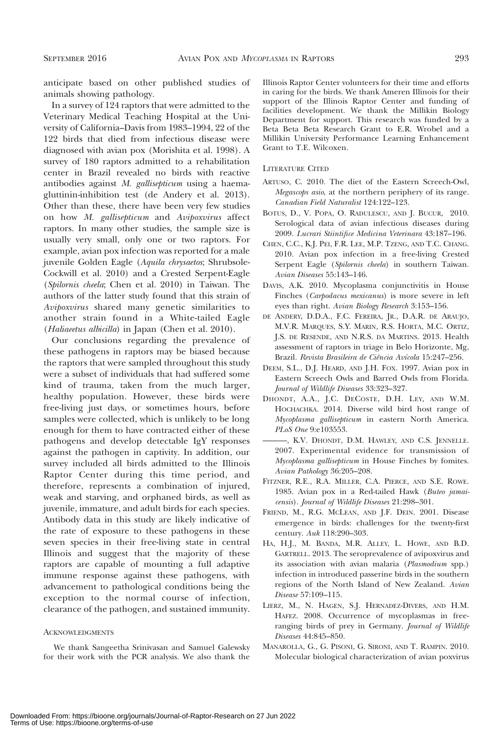anticipate based on other published studies of animals showing pathology.

In a survey of 124 raptors that were admitted to the Veterinary Medical Teaching Hospital at the University of California–Davis from 1983–1994, 22 of the 122 birds that died from infectious disease were diagnosed with avian pox (Morishita et al. 1998). A survey of 180 raptors admitted to a rehabilitation center in Brazil revealed no birds with reactive antibodies against M. gallisepticum using a haemagluttinin-inhibition test (de Andery et al. 2013). Other than these, there have been very few studies on how M. gallisepticum and Avipoxvirus affect raptors. In many other studies, the sample size is usually very small, only one or two raptors. For example, avian pox infection was reported for a male juvenile Golden Eagle (Aquila chrysaetos; Shrubsole-Cockwill et al. 2010) and a Crested Serpent-Eagle (Spilornis cheela; Chen et al. 2010) in Taiwan. The authors of the latter study found that this strain of Avipoxvirus shared many genetic similarities to another strain found in a White-tailed Eagle (Haliaeetus albicilla) in Japan (Chen et al. 2010).

Our conclusions regarding the prevalence of these pathogens in raptors may be biased because the raptors that were sampled throughout this study were a subset of individuals that had suffered some kind of trauma, taken from the much larger, healthy population. However, these birds were free-living just days, or sometimes hours, before samples were collected, which is unlikely to be long enough for them to have contracted either of these pathogens and develop detectable IgY responses against the pathogen in captivity. In addition, our survey included all birds admitted to the Illinois Raptor Center during this time period, and therefore, represents a combination of injured, weak and starving, and orphaned birds, as well as juvenile, immature, and adult birds for each species. Antibody data in this study are likely indicative of the rate of exposure to these pathogens in these seven species in their free-living state in central Illinois and suggest that the majority of these raptors are capable of mounting a full adaptive immune response against these pathogens, with advancement to pathological conditions being the exception to the normal course of infection, clearance of the pathogen, and sustained immunity.

#### **ACKNOWLEDGMENTS**

We thank Sangeetha Srinivasan and Samuel Galewsky for their work with the PCR analysis. We also thank the Illinois Raptor Center volunteers for their time and efforts in caring for the birds. We thank Ameren Illinois for their support of the Illinois Raptor Center and funding of facilities development. We thank the Millikin Biology Department for support. This research was funded by a Beta Beta Beta Research Grant to E.R. Wrobel and a Millikin University Performance Learning Enhancement Grant to T.E. Wilcoxen.

#### LITERATURE CITED

- ARTUSO, C. 2010. The diet of the Eastern Screech-Owl, Megascops asio, at the northern periphery of its range. Canadian Field Naturalist 124:122–123.
- BOTUS, D., V. POPA, O. RADULESCU, AND J. BUCUR, 2010. Serological data of avian infectious diseases during 2009. Lucrari Stiintifice Medicina Veterinara 43:187–196.
- CHEN, C.C., K.J. PEI, F.R. LEE, M.P. TZENG, AND T.C. CHANG. 2010. Avian pox infection in a free-living Crested Serpent Eagle (Spilornis cheela) in southern Taiwan. Avian Diseases 55:143–146.
- DAVIS, A.K. 2010. Mycoplasma conjunctivitis in House Finches (Carpodacus mexicanus) is more severe in left eyes than right. Avian Biology Research 3:153–156.
- DE ANDERY, D.D.A., F.C. FEREIRA, JR., D.A.R. DE ARAUJO, M.V.R. MARQUES, S.Y. MARIN, R.S. HORTA, M.C. ORTIZ, J.S. DE RESENDE, AND N.R.S. DA MARTINS. 2013. Health assessment of raptors in triage in Belo Horizonte, Mg, Brazil. Revista Brasileira de Ciência Avícola 15:247-256.
- DEEM, S.L., D.J. HEARD, AND J.H. FOX. 1997. Avian pox in Eastern Screech Owls and Barred Owls from Florida. Journal of Wildlife Diseases 33:323–327.
- DHONDT, A.A., J.C. DECOSTE, D.H. LEY, AND W.M. HOCHACHKA. 2014. Diverse wild bird host range of Mycoplasma gallisepticum in eastern North America. PLoS One 9:e103553.
- ———, K.V. DHONDT, D.M. HAWLEY, AND C.S. JENNELLE. 2007. Experimental evidence for transmission of Mycoplasma gallisepticum in House Finches by fomites. Avian Pathology 36:205–208.
- FITZNER, R.E., R.A. MILLER, C.A. PIERCE, AND S.E. ROWE. 1985. Avian pox in a Red-tailed Hawk (Buteo jamaicensis). Journal of Wildlife Diseases 21:298–301.
- FRIEND, M., R.G. MCLEAN, AND J.F. DEIN. 2001. Disease emergence in birds: challenges for the twenty-first century. Auk 118:290–303.
- HA, H.J., M. BANDA, M.R. ALLEY, L. HOWE, AND B.D. GARTRELL. 2013. The seroprevalence of avipoxvirus and its association with avian malaria (Plasmodium spp.) infection in introduced passerine birds in the southern regions of the North Island of New Zealand. Avian Disease 57:109–115.
- LIERZ, M., N. HAGEN, S.J. HERNADEZ-DIVERS, AND H.M. HAFEZ. 2008. Occurrence of mycoplasmas in freeranging birds of prey in Germany. Journal of Wildlife Diseases 44:845–850.
- MANAROLLA, G., G. PISONI, G. SIRONI, AND T. RAMPIN. 2010. Molecular biological characterization of avian poxvirus